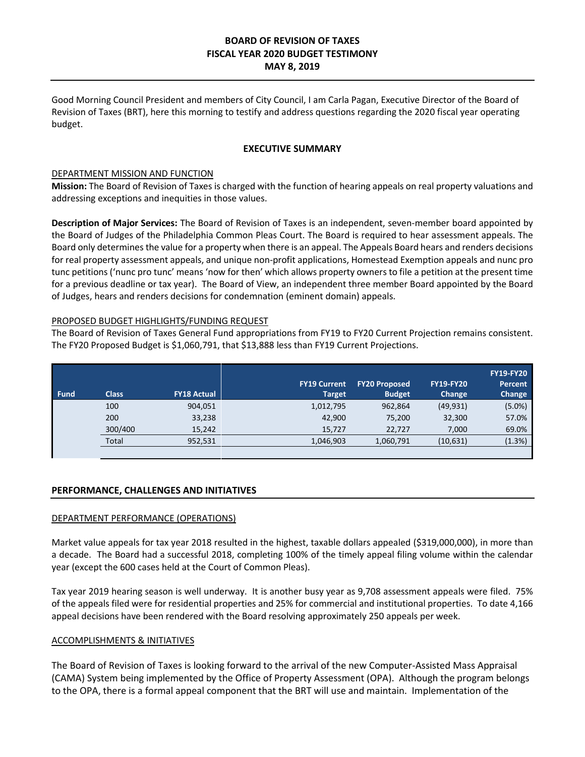# **BOARD OF REVISION OF TAXES FISCAL YEAR 2020 BUDGET TESTIMONY MAY 8, 2019**

Good Morning Council President and members of City Council, I am Carla Pagan, Executive Director of the Board of Revision of Taxes (BRT), here this morning to testify and address questions regarding the 2020 fiscal year operating budget.

## **EXECUTIVE SUMMARY**

### DEPARTMENT MISSION AND FUNCTION

**Mission:** The Board of Revision of Taxes is charged with the function of hearing appeals on real property valuations and addressing exceptions and inequities in those values.

**Description of Major Services:** The Board of Revision of Taxes is an independent, seven-member board appointed by the Board of Judges of the Philadelphia Common Pleas Court. The Board is required to hear assessment appeals. The Board only determines the value for a property when there is an appeal. The Appeals Board hears and renders decisions for real property assessment appeals, and unique non-profit applications, Homestead Exemption appeals and nunc pro tunc petitions ('nunc pro tunc' means 'now for then' which allows property owners to file a petition at the present time for a previous deadline or tax year). The Board of View, an independent three member Board appointed by the Board of Judges, hears and renders decisions for condemnation (eminent domain) appeals.

## PROPOSED BUDGET HIGHLIGHTS/FUNDING REQUEST

The Board of Revision of Taxes General Fund appropriations from FY19 to FY20 Current Projection remains consistent. The FY20 Proposed Budget is \$1,060,791, that \$13,888 less than FY19 Current Projections.

|                                            | <b>FY19-FY20</b><br><b>FY19-FY20</b><br>Percent<br>Change<br>Change |
|--------------------------------------------|---------------------------------------------------------------------|
| 100<br>904,051<br>1,012,795<br>962,864     | $(5.0\%)$<br>(49, 931)                                              |
| 200<br>33,238<br>42,900<br>75,200          | 57.0%<br>32,300                                                     |
| 300/400<br>15,242<br>15,727<br>22,727      | 69.0%<br>7,000                                                      |
| Total<br>1,046,903<br>1,060,791<br>952,531 | (1.3%)<br>(10,631)                                                  |

#### **PERFORMANCE, CHALLENGES AND INITIATIVES**

#### DEPARTMENT PERFORMANCE (OPERATIONS)

Market value appeals for tax year 2018 resulted in the highest, taxable dollars appealed (\$319,000,000), in more than a decade. The Board had a successful 2018, completing 100% of the timely appeal filing volume within the calendar year (except the 600 cases held at the Court of Common Pleas).

Tax year 2019 hearing season is well underway. It is another busy year as 9,708 assessment appeals were filed. 75% of the appeals filed were for residential properties and 25% for commercial and institutional properties. To date 4,166 appeal decisions have been rendered with the Board resolving approximately 250 appeals per week.

#### ACCOMPLISHMENTS & INITIATIVES

The Board of Revision of Taxes is looking forward to the arrival of the new Computer-Assisted Mass Appraisal (CAMA) System being implemented by the Office of Property Assessment (OPA). Although the program belongs to the OPA, there is a formal appeal component that the BRT will use and maintain. Implementation of the